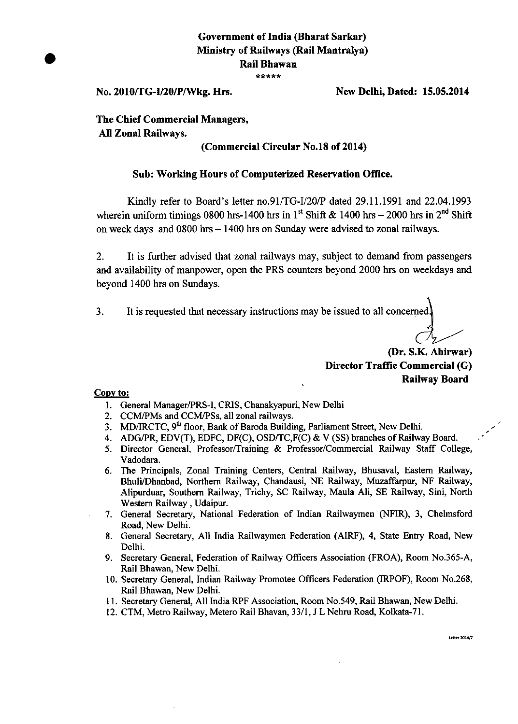# **Government of India (Bharat Sarkar) Ministry of Railways (Rail Mantralya) Rail Bhawan**  \*\*\*\*\*

**No. 2010/TG-1/20/P/VVkg. Hrs. New Delhi, Dated: 15.05.2014** 

**The Chief Commercial Managers, All Zonal Railways.** 

## **(Commercial Circular No.18 of 2014)**

### **Sub: Working Hours of Computerized Reservation Office.**

Kindly refer to Board's letter no.91/TG-I/20/P dated 29.11.1991 and 22.04.1993 wherein uniform timings 0800 hrs-1400 hrs in 1<sup>st</sup> Shift & 1400 hrs – 2000 hrs in 2<sup>nd</sup> Shift on week days and 0800 hrs — 1400 hrs on Sunday were advised to zonal railways.

2. It is further advised that zonal railways may, subject to demand from passengers and availability of manpower, open the PRS counters beyond 2000 hrs on weekdays and beyond 1400 hrs on Sundays.

3. It is requested that necessary instructions may be issued to all concerned

**(Dr. S.K. Ahirwar) Director Traffic Commercial (G) Railway Board** 

#### Copy to:

- 1. General Manager/PRS-I, CRIS, Chanakyapuri, New Delhi
- 2. CCM/PMs and CCM/PSs, all zonal railways.
- 3. MD/IRCTC,  $9<sup>th</sup>$  floor, Bank of Baroda Building, Parliament Street, New Delhi.
- 4. ADG/PR, EDV(T), EDFC, DF(C), OSD/TC,F(C) & V (SS) branches of Railway Board.
- 5. Director General, Professor/Training & Professor/Commercial Railway Staff College, Vadodara.
- 6. The Principals, Zonal Training Centers, Central Railway, Bhusaval, Eastern Railway, Bhuli/Dhanbad, Northern Railway, Chandausi, NE Railway, Muzaffarpur, NF Railway, Alipurduar, Southern Railway, Trichy, SC Railway, Maula Ali, SE Railway, Sini, North Western Railway , Udaipur.
- 7. General Secretary, National Federation of Indian Railwaymen (NFIR), 3, Chelmsford Road, New Delhi.
- 8. General Secretary, All India Railwaymen Federation (AIRF), 4, State Entry Road, New Delhi.
- 9. Secretary General, Federation of Railway Officers Association (FROA), Room No.365-A, Rail Bhawan, New Delhi.
- 10. Secretary General, Indian Railway Promotee Officers Federation (IRPOF), Room No.268, Rail Bhawan, New Delhi.
- 11. Secretary General, All India RPF Association, Room No.549, Rail Bhawan, New Delhi.
- 12. CTM, Metro Railway, Metero Rail Bhavan, 33/1, J L Nehru Road, Kolkata-71.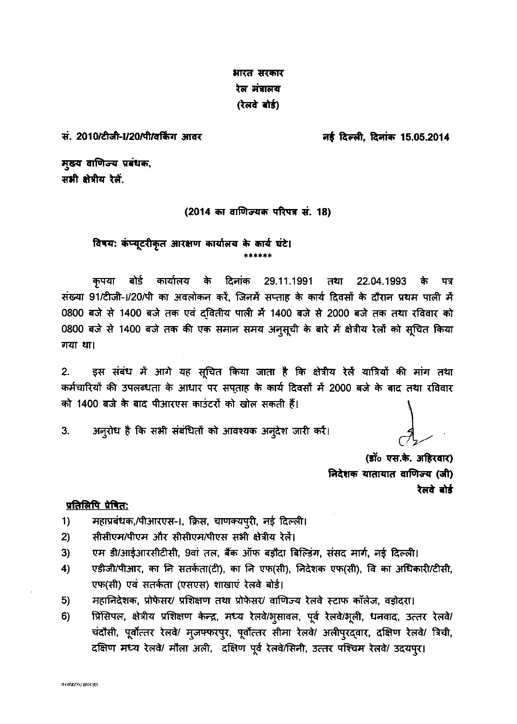भारत सरकार रेल मंत्रालय (रेलवे बोर्ड)

सं. 2010/टीजी-1/20/पी/वर्किंग आवर

नई दिल्ली, दिनांक 15.05.2014

मुख्य वाणिज्य प्रबंधक, सभी क्षेत्रीय रेलें.

# (2014 का वाणिज्यक परिपत्र सं. 18)

विषय: कंप्यूटरीकृत आरक्षण कार्यालय के कार्य घंटे।

कृपया बोर्ड कार्यालय के दिनांक 29.11.1991 तथा 22.04.1993 े के पत्र संख्या 91/टीजी-1/20/पी का अवलोकन करें, जिनमें सप्ताह के कार्य दिवसों के दौरान प्रथम पाली में 0800 बजे से 1400 बजे तक एवं द्वितीय पाली में 1400 बजे से 2000 बजे तक तथा रविवार को 0800 बजे से 1400 बजे तक की एक समान समय अनुसूची के बारे में क्षेत्रीय रेलों को सूचित किया गया था।

इस संबंध में आगे यह सूचित किया जाता है कि क्षेत्रीय रेलें यात्रियों की मांग तथा  $2.$ कर्मचारियों की उपलब्धता के आधार पर सपताह के कार्य दिवसों में 2000 बजे के बाद तथा रविवार को 1400 बजे के बाद पीआरएस काउंटरों को खोल सकती हैं।

अनुरोध है कि सभी संबंधितों को आवश्यक अनुदेश जारी करें।  $3.$ 

> (डॉ॰ एस.के. अहिरवार) निदेशक यातायात वाणिज्य (जी) रेलवे बोर्ड

### <u>प्रतिलिपि प्रेषित:</u>

- महाप्रबंधक,/पीआरएस-।, क्रिस, चाणक्यपुरी, नई दिल्ली।  $1)$
- सीसीएम/पीएम और सीसीएम/पीएस सभी क्षेत्रीय रेलें।  $2)$
- एम डी/आईआरसीटीसी, 9वां तल, बैंक ऑफ बड़ौदा बिल्डिंग, संसद मार्ग, नई दिल्ली।  $3)$
- $4)$ एडीजी/पीआर, का नि सतर्कता(टी), का नि एफ(सी), निदेशक एफ(सी), वि का अधिकारी/टीसी, एफ(सी) एवं सतर्कता (एसएस) शाखाएं रेलवे बोर्ड।
- $5)$ महानिदेशक, प्रोफेसर/ प्रशिक्षण तथा प्रोफेसर/ वाणिज्य रेलवे स्टाफ कॉलेज, वड़ोदरा।
- प्रिंसिपल, क्षेत्रीय प्रशिक्षण केन्द्र, मध्य रेलवे/भूसावल, पूर्व रेलवे/भूली, धनवाद, उत्तर रेलवे/  $6)$ चंदौसी, पूर्वोत्तर रेलवे/ मूजफ्फरपुर, पूर्वोत्तर सीमा रेलवे/ अलीपुरद्वार, दक्षिण रेलवे/ त्रिची, दक्षिण मध्य रेलवे/ मौला अली, दक्षिण पूर्व रेलवे/सिनी, उत्तर पश्चिम रेलवे/ उदयपुर।